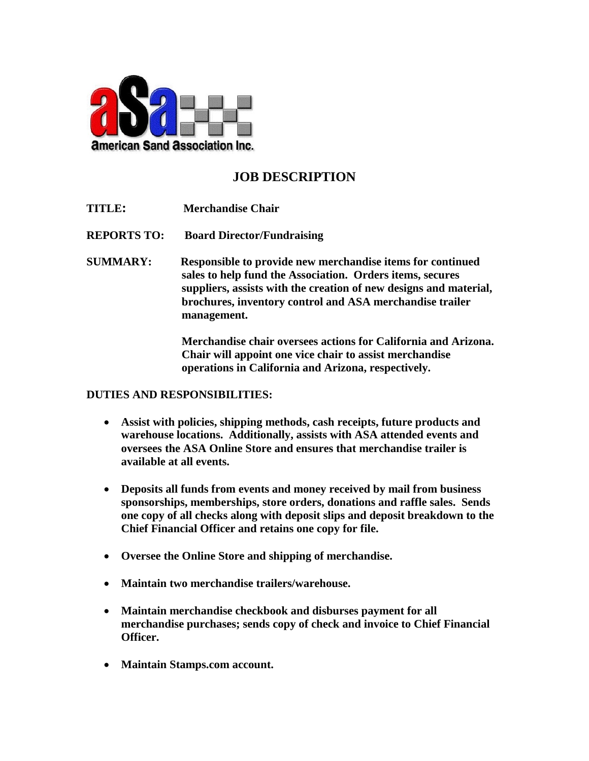

## **JOB DESCRIPTION**

- **TITLE: Merchandise Chair**
- **REPORTS TO: Board Director/Fundraising**
- **SUMMARY: Responsible to provide new merchandise items for continued sales to help fund the Association. Orders items, secures suppliers, assists with the creation of new designs and material, brochures, inventory control and ASA merchandise trailer management.**

**Merchandise chair oversees actions for California and Arizona. Chair will appoint one vice chair to assist merchandise operations in California and Arizona, respectively.**

## **DUTIES AND RESPONSIBILITIES:**

- **Assist with policies, shipping methods, cash receipts, future products and warehouse locations. Additionally, assists with ASA attended events and oversees the ASA Online Store and ensures that merchandise trailer is available at all events.**
- **Deposits all funds from events and money received by mail from business sponsorships, memberships, store orders, donations and raffle sales. Sends one copy of all checks along with deposit slips and deposit breakdown to the Chief Financial Officer and retains one copy for file.**
- **Oversee the Online Store and shipping of merchandise.**
- **Maintain two merchandise trailers/warehouse.**
- **Maintain merchandise checkbook and disburses payment for all merchandise purchases; sends copy of check and invoice to Chief Financial Officer.**
- **Maintain Stamps.com account.**